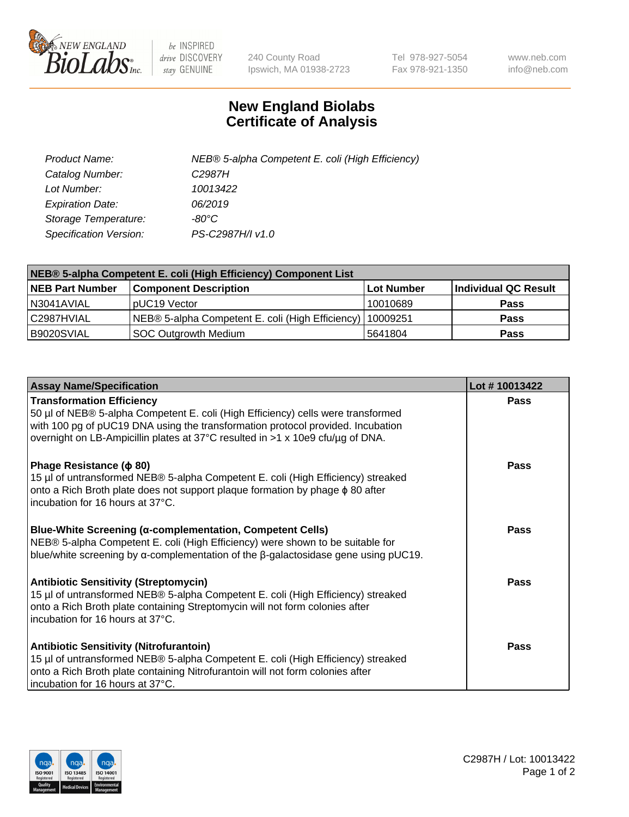

 $be$  INSPIRED drive DISCOVERY stay GENUINE

240 County Road Ipswich, MA 01938-2723 Tel 978-927-5054 Fax 978-921-1350 www.neb.com info@neb.com

## **New England Biolabs Certificate of Analysis**

| Product Name:           | NEB® 5-alpha Competent E. coli (High Efficiency) |
|-------------------------|--------------------------------------------------|
| Catalog Number:         | C <sub>2987</sub> H                              |
| Lot Number:             | 10013422                                         |
| <b>Expiration Date:</b> | 06/2019                                          |
| Storage Temperature:    | -80°C                                            |
| Specification Version:  | PS-C2987H/I v1.0                                 |

| NEB® 5-alpha Competent E. coli (High Efficiency) Component List |                                                  |            |                      |  |
|-----------------------------------------------------------------|--------------------------------------------------|------------|----------------------|--|
| <b>NEB Part Number</b>                                          | <b>Component Description</b>                     | Lot Number | Individual QC Result |  |
| N3041AVIAL                                                      | pUC19 Vector                                     | 10010689   | <b>Pass</b>          |  |
| C2987HVIAL                                                      | NEB® 5-alpha Competent E. coli (High Efficiency) | 10009251   | <b>Pass</b>          |  |
| B9020SVIAL                                                      | <b>SOC Outgrowth Medium</b>                      | 5641804    | <b>Pass</b>          |  |

| <b>Assay Name/Specification</b>                                                                                                                                                                                                                                                           | Lot #10013422 |
|-------------------------------------------------------------------------------------------------------------------------------------------------------------------------------------------------------------------------------------------------------------------------------------------|---------------|
| <b>Transformation Efficiency</b><br>50 µl of NEB® 5-alpha Competent E. coli (High Efficiency) cells were transformed<br>with 100 pg of pUC19 DNA using the transformation protocol provided. Incubation<br>overnight on LB-Ampicillin plates at 37°C resulted in >1 x 10e9 cfu/µg of DNA. | <b>Pass</b>   |
| Phage Resistance ( $\phi$ 80)<br>15 µl of untransformed NEB® 5-alpha Competent E. coli (High Efficiency) streaked<br>onto a Rich Broth plate does not support plaque formation by phage $\phi$ 80 after<br>incubation for 16 hours at 37°C.                                               | Pass          |
| Blue-White Screening (α-complementation, Competent Cells)<br>NEB® 5-alpha Competent E. coli (High Efficiency) were shown to be suitable for<br>blue/white screening by $\alpha$ -complementation of the $\beta$ -galactosidase gene using pUC19.                                          | <b>Pass</b>   |
| <b>Antibiotic Sensitivity (Streptomycin)</b><br>15 µl of untransformed NEB® 5-alpha Competent E. coli (High Efficiency) streaked<br>onto a Rich Broth plate containing Streptomycin will not form colonies after<br>incubation for 16 hours at 37°C.                                      | Pass          |
| <b>Antibiotic Sensitivity (Nitrofurantoin)</b><br>15 µl of untransformed NEB® 5-alpha Competent E. coli (High Efficiency) streaked<br>onto a Rich Broth plate containing Nitrofurantoin will not form colonies after<br>incubation for 16 hours at 37°C.                                  | Pass          |